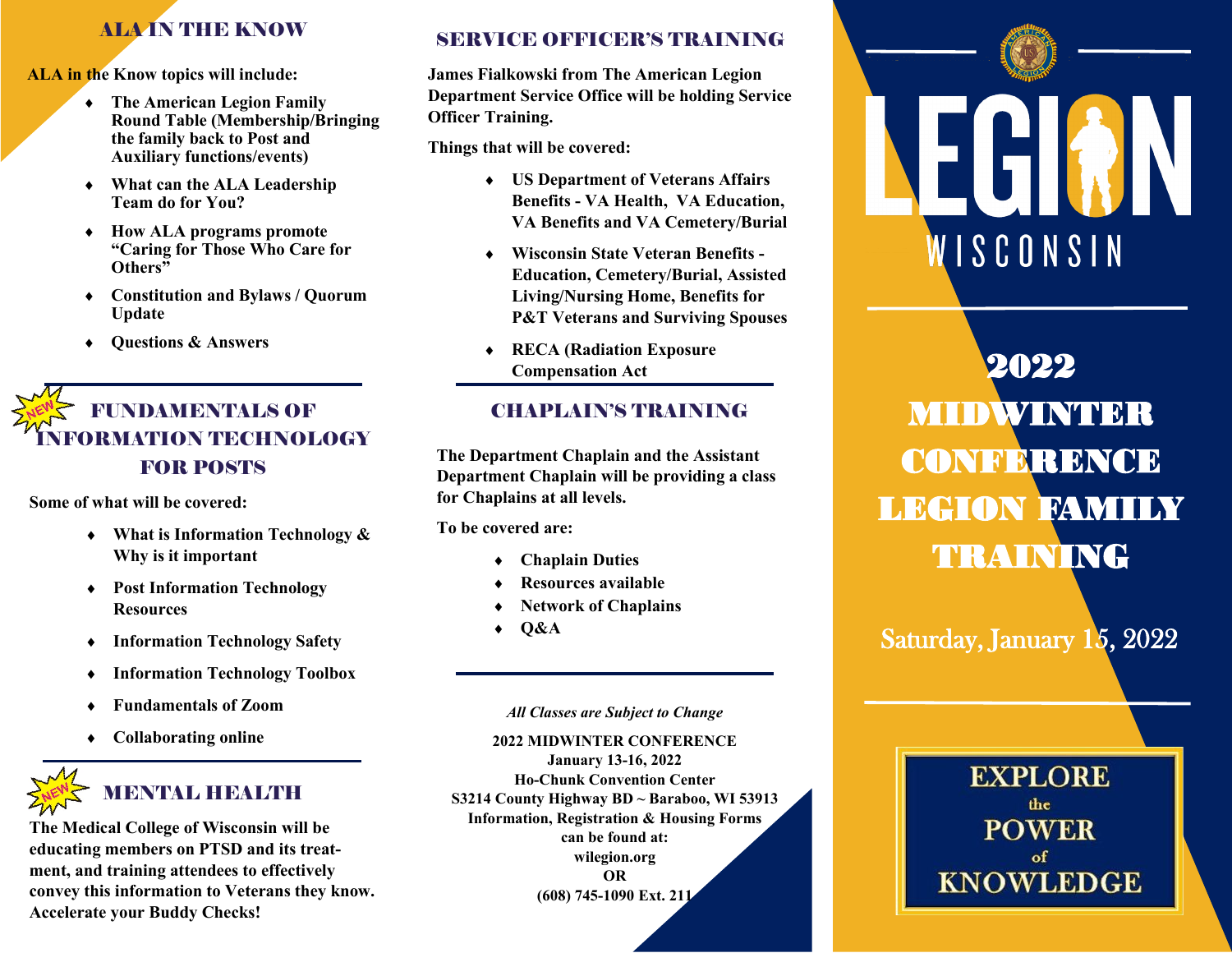### ALA IN THE KNOW

**ALA in the Know topics will include:** 

- **The American Legion Family Round Table (Membership/Bringing the family back to Post and Auxiliary functions/events)**
- **What can the ALA Leadership Team do for You?**
- **How ALA programs promote "Caring for Those Who Care for Others"**
- **Constitution and Bylaws / Quorum Update**
- **Questions & Answers**

# FUNDAMENTALS OF RMATION TECHNOLOGY FOR POSTS

**Some of what will be covered:**

- **What is Information Technology & Why is it important**
- **Post Information Technology Resources**
- **Information Technology Safety**
- **Information Technology Toolbox**
- **Fundamentals of Zoom**
- **Collaborating online**



# MENNY METHEMATIK

**The Medical College of Wisconsin will be educating members on PTSD and its treatment, and training attendees to effectively convey this information to Veterans they know. Accelerate your Buddy Checks!**

#### SERVICE OFFICER'S TRAINING

**James Fialkowski from The American Legion Department Service Office will be holding Service Officer Training.**

**Things that will be covered:**

- **US Department of Veterans Affairs Benefits - VA Health, VA Education, VA Benefits and VA Cemetery/Burial**
- **Wisconsin State Veteran Benefits - Education, Cemetery/Burial, Assisted Living/Nursing Home, Benefits for P&T Veterans and Surviving Spouses**
- **RECA (Radiation Exposure Compensation Act**

#### CHAPLAIN'S TRAINING

**The Department Chaplain and the Assistant Department Chaplain will be providing a class for Chaplains at all levels.** 

**To be covered are:**

- **Chaplain Duties**
- **Resources available**
- **Network of Chaplains**
- $\triangleleft$  O&A

*All Classes are Subject to Change*

**2022 MIDWINTER CONFERENCE January 13-16, 2022 Ho-Chunk Convention Center S3214 County Highway BD ~ Baraboo, WI 53913 Information, Registration & Housing Forms can be found at: wilegion.org OR (608) 745-1090 Ext. 211**



# 2022 MIDWINTER **CONFERENCE** LEGION FAMILY TRAINING

Saturday, January 15, 2022